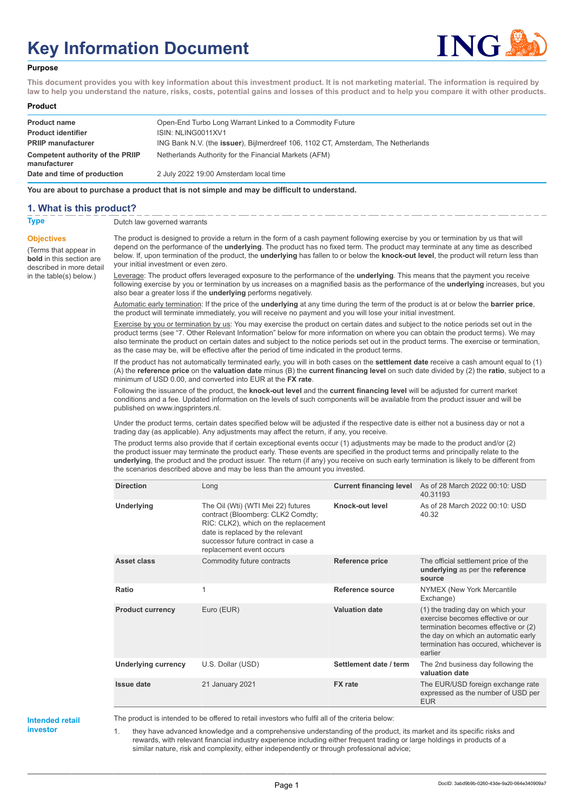# **Key Information Document**



#### **Purpose**

**This document provides you with key information about this investment product. It is not marketing material. The information is required by law to help you understand the nature, risks, costs, potential gains and losses of this product and to help you compare it with other products.**

#### **Product**

| <b>Product name</b>                              | Open-End Turbo Long Warrant Linked to a Commodity Future                          |
|--------------------------------------------------|-----------------------------------------------------------------------------------|
| <b>Product identifier</b>                        | ISIN: NLING0011XV1                                                                |
| <b>PRIIP manufacturer</b>                        | ING Bank N.V. (the issuer), Bijlmerdreef 106, 1102 CT, Amsterdam, The Netherlands |
| Competent authority of the PRIIP<br>manufacturer | Netherlands Authority for the Financial Markets (AFM)                             |
| Date and time of production                      | 2 July 2022 19:00 Amsterdam local time                                            |

**You are about to purchase a product that is not simple and may be difficult to understand.**

## **1. What is this product?**

**Objectives**

(Terms that appear in **bold** in this section are

in the table(s) below.)

**Type** Dutch law governed warrants

described in more detail The product is designed to provide a return in the form of a cash payment following exercise by you or termination by us that will depend on the performance of the **underlying**. The product has no fixed term. The product may terminate at any time as described below. If, upon termination of the product, the **underlying** has fallen to or below the **knock-out level**, the product will return less than your initial investment or even zero.

> Leverage: The product offers leveraged exposure to the performance of the **underlying**. This means that the payment you receive following exercise by you or termination by us increases on a magnified basis as the performance of the **underlying** increases, but you also bear a greater loss if the **underlying** performs negatively.

Automatic early termination: If the price of the **underlying** at any time during the term of the product is at or below the **barrier price**, the product will terminate immediately, you will receive no payment and you will lose your initial investment.

Exercise by you or termination by us: You may exercise the product on certain dates and subject to the notice periods set out in the product terms (see "7. Other Relevant Information" below for more information on where you can obtain the product terms). We may also terminate the product on certain dates and subject to the notice periods set out in the product terms. The exercise or termination, as the case may be, will be effective after the period of time indicated in the product terms.

If the product has not automatically terminated early, you will in both cases on the **settlement date** receive a cash amount equal to (1) (A) the **reference price** on the **valuation date** minus (B) the **current financing level** on such date divided by (2) the **ratio**, subject to a minimum of USD 0.00, and converted into EUR at the **FX rate**.

Following the issuance of the product, the **knock-out level** and the **current financing level** will be adjusted for current market conditions and a fee. Updated information on the levels of such components will be available from the product issuer and will be published on www.ingsprinters.nl.

Under the product terms, certain dates specified below will be adjusted if the respective date is either not a business day or not a trading day (as applicable). Any adjustments may affect the return, if any, you receive.

The product terms also provide that if certain exceptional events occur (1) adjustments may be made to the product and/or (2) the product issuer may terminate the product early. These events are specified in the product terms and principally relate to the **underlying**, the product and the product issuer. The return (if any) you receive on such early termination is likely to be different from the scenarios described above and may be less than the amount you invested.

| <b>Direction</b>           | Long                                                                                                                                                                                                                   | <b>Current financing level</b> | As of 28 March 2022 00:10: USD<br>40.31193                                                                                                                                                                |
|----------------------------|------------------------------------------------------------------------------------------------------------------------------------------------------------------------------------------------------------------------|--------------------------------|-----------------------------------------------------------------------------------------------------------------------------------------------------------------------------------------------------------|
| <b>Underlying</b>          | The Oil (Wti) (WTI Mei 22) futures<br>contract (Bloomberg: CLK2 Comdty;<br>RIC: CLK2), which on the replacement<br>date is replaced by the relevant<br>successor future contract in case a<br>replacement event occurs | Knock-out level                | As of 28 March 2022 00:10: USD<br>40.32                                                                                                                                                                   |
| Asset class                | Commodity future contracts                                                                                                                                                                                             | <b>Reference price</b>         | The official settlement price of the<br>underlying as per the reference<br>source                                                                                                                         |
| Ratio                      | 1                                                                                                                                                                                                                      | Reference source               | NYMEX (New York Mercantile<br>Exchange)                                                                                                                                                                   |
| <b>Product currency</b>    | Euro (EUR)                                                                                                                                                                                                             | <b>Valuation date</b>          | (1) the trading day on which your<br>exercise becomes effective or our<br>termination becomes effective or (2)<br>the day on which an automatic early<br>termination has occured, whichever is<br>earlier |
| <b>Underlying currency</b> | U.S. Dollar (USD)                                                                                                                                                                                                      | Settlement date / term         | The 2nd business day following the<br>valuation date                                                                                                                                                      |
| Issue date                 | 21 January 2021                                                                                                                                                                                                        | <b>FX</b> rate                 | The EUR/USD foreign exchange rate<br>expressed as the number of USD per<br><b>EUR</b>                                                                                                                     |

**Intended retail investor**

The product is intended to be offered to retail investors who fulfil all of the criteria below:

1. they have advanced knowledge and a comprehensive understanding of the product, its market and its specific risks and rewards, with relevant financial industry experience including either frequent trading or large holdings in products of a similar nature, risk and complexity, either independently or through professional advice;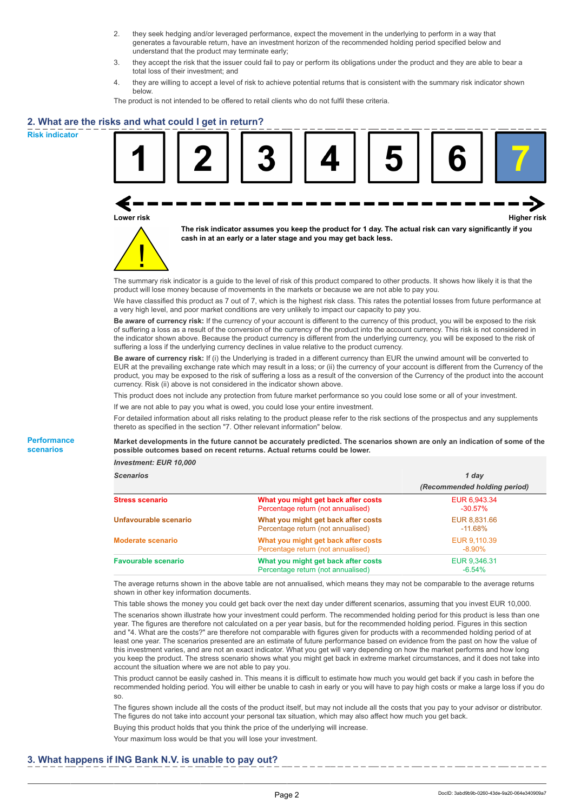- 2. they seek hedging and/or leveraged performance, expect the movement in the underlying to perform in a way that generates a favourable return, have an investment horizon of the recommended holding period specified below and understand that the product may terminate early;
- 3. they accept the risk that the issuer could fail to pay or perform its obligations under the product and they are able to bear a total loss of their investment; and
- 4. they are willing to accept a level of risk to achieve potential returns that is consistent with the summary risk indicator shown below.

The product is not intended to be offered to retail clients who do not fulfil these criteria.

## **2. What are the risks and what could I get in return?**

**Risk indicator**

**Performance scenarios**





**The risk indicator assumes you keep the product for 1 day. The actual risk can vary significantly if you cash in at an early or a later stage and you may get back less.**

The summary risk indicator is a guide to the level of risk of this product compared to other products. It shows how likely it is that the product will lose money because of movements in the markets or because we are not able to pay you.

We have classified this product as 7 out of 7, which is the highest risk class. This rates the potential losses from future performance at a very high level, and poor market conditions are very unlikely to impact our capacity to pay you.

**Be aware of currency risk:** If the currency of your account is different to the currency of this product, you will be exposed to the risk of suffering a loss as a result of the conversion of the currency of the product into the account currency. This risk is not considered in the indicator shown above. Because the product currency is different from the underlying currency, you will be exposed to the risk of suffering a loss if the underlying currency declines in value relative to the product currency.

**Be aware of currency risk:** If (i) the Underlying is traded in a different currency than EUR the unwind amount will be converted to EUR at the prevailing exchange rate which may result in a loss; or (ii) the currency of your account is different from the Currency of the product, you may be exposed to the risk of suffering a loss as a result of the conversion of the Currency of the product into the account currency. Risk (ii) above is not considered in the indicator shown above.

This product does not include any protection from future market performance so you could lose some or all of your investment.

If we are not able to pay you what is owed, you could lose your entire investment.

For detailed information about all risks relating to the product please refer to the risk sections of the prospectus and any supplements thereto as specified in the section "7. Other relevant information" below.

**Market developments in the future cannot be accurately predicted. The scenarios shown are only an indication of some of the possible outcomes based on recent returns. Actual returns could be lower.**

*Investment: EUR 10,000*

| <b>Scenarios</b>           |                                                                           | 1 day                        |  |
|----------------------------|---------------------------------------------------------------------------|------------------------------|--|
|                            |                                                                           | (Recommended holding period) |  |
| Stress scenario            | What you might get back after costs<br>Percentage return (not annualised) | EUR 6,943.34<br>$-30.57\%$   |  |
| Unfavourable scenario      | What you might get back after costs<br>Percentage return (not annualised) | EUR 8.831.66<br>-11.68%      |  |
| <b>Moderate scenario</b>   | What you might get back after costs<br>Percentage return (not annualised) | EUR 9.110.39<br>$-8.90\%$    |  |
| <b>Favourable scenario</b> | What you might get back after costs<br>Percentage return (not annualised) | EUR 9,346.31<br>$-6.54%$     |  |

The average returns shown in the above table are not annualised, which means they may not be comparable to the average returns shown in other key information documents.

This table shows the money you could get back over the next day under different scenarios, assuming that you invest EUR 10,000. The scenarios shown illustrate how your investment could perform. The recommended holding period for this product is less than one year. The figures are therefore not calculated on a per year basis, but for the recommended holding period. Figures in this section and "4. What are the costs?" are therefore not comparable with figures given for products with a recommended holding period of at least one year. The scenarios presented are an estimate of future performance based on evidence from the past on how the value of this investment varies, and are not an exact indicator. What you get will vary depending on how the market performs and how long you keep the product. The stress scenario shows what you might get back in extreme market circumstances, and it does not take into account the situation where we are not able to pay you.

This product cannot be easily cashed in. This means it is difficult to estimate how much you would get back if you cash in before the recommended holding period. You will either be unable to cash in early or you will have to pay high costs or make a large loss if you do so.

The figures shown include all the costs of the product itself, but may not include all the costs that you pay to your advisor or distributor. The figures do not take into account your personal tax situation, which may also affect how much you get back.

Buying this product holds that you think the price of the underlying will increase.

Your maximum loss would be that you will lose your investment.

## **3. What happens if ING Bank N.V. is unable to pay out?**